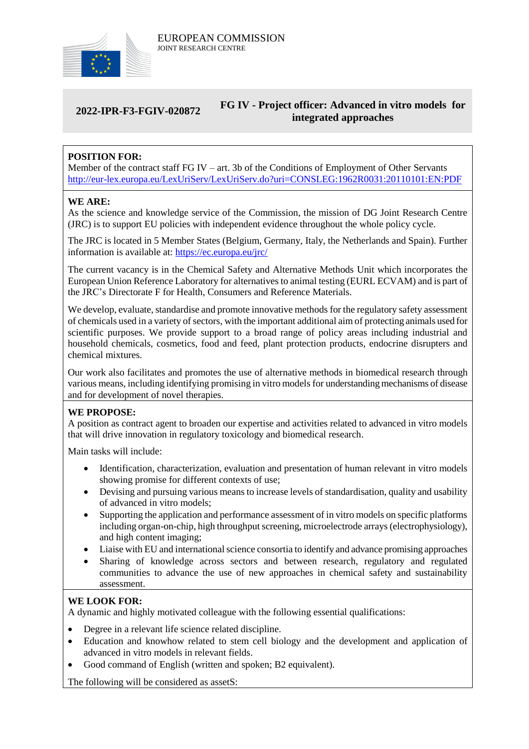

### **2022-IPR-F3-FGIV-020872 FG IV - Project officer: Advanced in vitro models for integrated approaches**

# **POSITION FOR:**

Member of the contract staff FG IV – art. 3b of the Conditions of Employment of Other Servants <http://eur-lex.europa.eu/LexUriServ/LexUriServ.do?uri=CONSLEG:1962R0031:20110101:EN:PDF>

### **WE ARE:**

As the science and knowledge service of the Commission, the mission of DG Joint Research Centre (JRC) is to support EU policies with independent evidence throughout the whole policy cycle.

The JRC is located in 5 Member States (Belgium, Germany, Italy, the Netherlands and Spain). Further information is available at: <https://ec.europa.eu/jrc/>

The current vacancy is in the Chemical Safety and Alternative Methods Unit which incorporates the European Union Reference Laboratory for alternatives to animal testing (EURL ECVAM) and is part of the JRC's Directorate F for Health, Consumers and Reference Materials.

We develop, evaluate, standardise and promote innovative methods for the regulatory safety assessment of chemicals used in a variety of sectors, with the important additional aim of protecting animals used for scientific purposes. We provide support to a broad range of policy areas including industrial and household chemicals, cosmetics, food and feed, plant protection products, endocrine disrupters and chemical mixtures.

Our work also facilitates and promotes the use of alternative methods in biomedical research through various means, including identifying promising in vitro models for understandingmechanisms of disease and for development of novel therapies.

### **WE PROPOSE:**

A position as contract agent to broaden our expertise and activities related to advanced in vitro models that will drive innovation in regulatory toxicology and biomedical research.

Main tasks will include:

- Identification, characterization, evaluation and presentation of human relevant in vitro models showing promise for different contexts of use;
- Devising and pursuing various means to increase levels of standardisation, quality and usability of advanced in vitro models;
- Supporting the application and performance assessment of in vitro models on specific platforms including organ-on-chip, high throughput screening, microelectrode arrays (electrophysiology), and high content imaging;
- Liaise with EU and international science consortia to identify and advance promising approaches
- Sharing of knowledge across sectors and between research, regulatory and regulated communities to advance the use of new approaches in chemical safety and sustainability assessment.

## **WE LOOK FOR:**

A dynamic and highly motivated colleague with the following essential qualifications:

- Degree in a relevant life science related discipline.
- Education and knowhow related to stem cell biology and the development and application of advanced in vitro models in relevant fields.
- Good command of English (written and spoken: B2 equivalent).

The following will be considered as assetS: